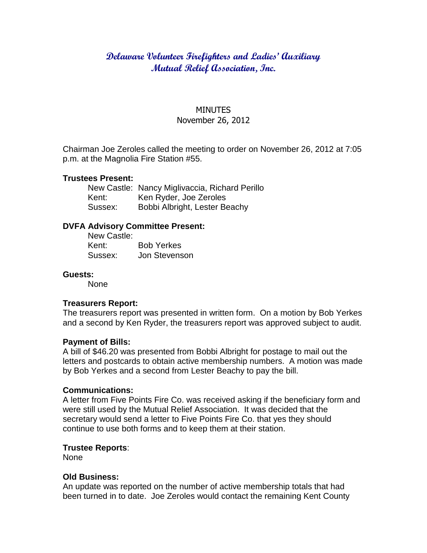# **Delaware Volunteer Firefighters and Ladies' Auxiliary Mutual Relief Association, Inc.**

#### MINUTES November 26, 2012

Chairman Joe Zeroles called the meeting to order on November 26, 2012 at 7:05 p.m. at the Magnolia Fire Station #55.

#### **Trustees Present:**

New Castle: Nancy Miglivaccia, Richard Perillo Kent: Ken Ryder, Joe Zeroles Sussex: Bobbi Albright, Lester Beachy

# **DVFA Advisory Committee Present:**

New Castle: Kent: Bob Yerkes Sussex: Jon Stevenson

#### **Guests:**

None

#### **Treasurers Report:**

The treasurers report was presented in written form. On a motion by Bob Yerkes and a second by Ken Ryder, the treasurers report was approved subject to audit.

#### **Payment of Bills:**

A bill of \$46.20 was presented from Bobbi Albright for postage to mail out the letters and postcards to obtain active membership numbers. A motion was made by Bob Yerkes and a second from Lester Beachy to pay the bill.

## **Communications:**

A letter from Five Points Fire Co. was received asking if the beneficiary form and were still used by the Mutual Relief Association. It was decided that the secretary would send a letter to Five Points Fire Co. that yes they should continue to use both forms and to keep them at their station.

#### **Trustee Reports**:

None

## **Old Business:**

An update was reported on the number of active membership totals that had been turned in to date. Joe Zeroles would contact the remaining Kent County